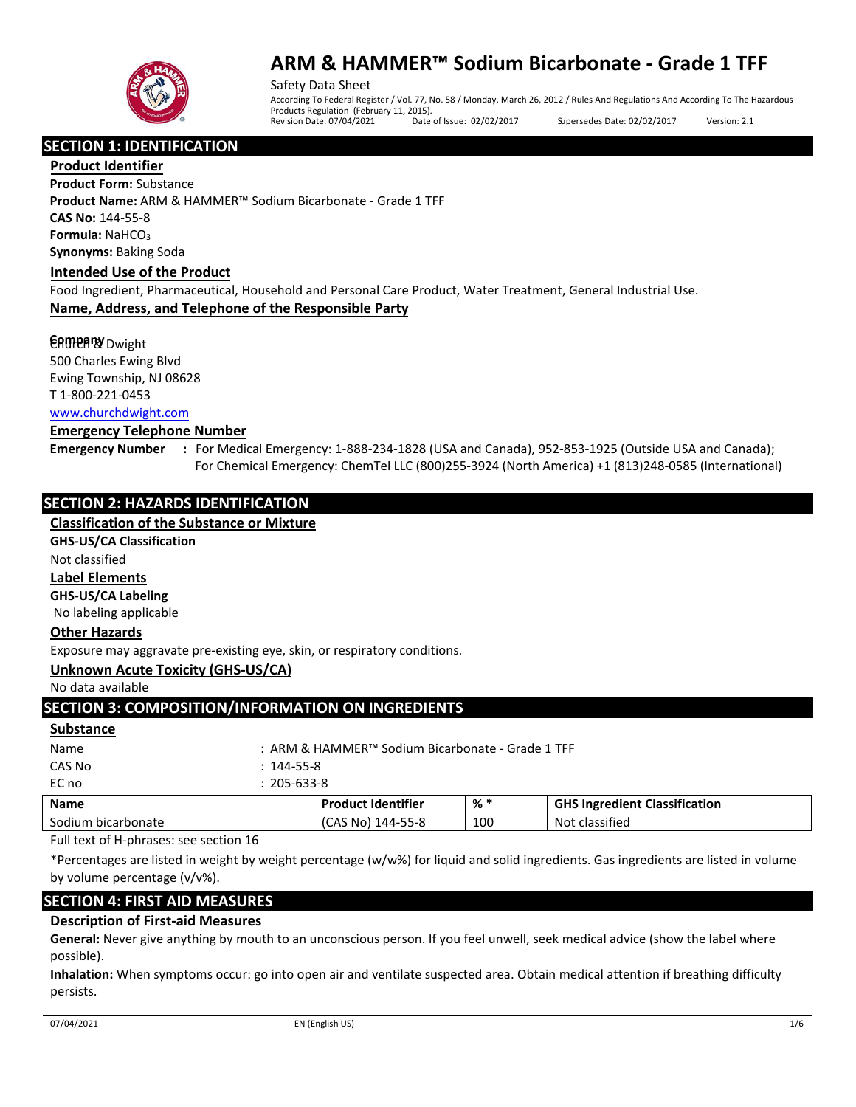

Safety Data Sheet According To Federal Register / Vol. 77, No. 58 / Monday, March 26, 2012 / Rules And Regulations And According To The Hazardous Products Regulation (February 11, 2015).<br>Revision Date: 07/04/2021 Date of Issue: 02/02/2017 Supersedes Date: 02/02/2017 Version: 2.1

**SECTION 1: IDENTIFICATION**

**Product Identifier**

**Product Form:** Substance **Product Name:** ARM & HAMMER™ Sodium Bicarbonate - Grade 1 TFF **CAS No:** 144-55-8 **Formula: NaHCO<sub>3</sub> Synonyms:** Baking Soda

#### **Intended Use of the Product**

Food Ingredient, Pharmaceutical, Household and Personal Care Product, Water Treatment, General Industrial Use. **Name, Address, and Telephone of the Responsible Party**

#### **CAMPARY** Dwight

500 Charles Ewing Blvd Ewing Township, NJ 08628 T 1-800-221-0453 [www.churchdwight.com](http://www.churchdwight.com/)

#### **Emergency Telephone Number**

**Emergency Number :** For Medical Emergency: 1-888-234-1828 (USA and Canada), 952-853-1925 (Outside USA and Canada); For Chemical Emergency: ChemTel LLC (800)255-3924 (North America) +1 (813)248-0585 (International)

# **SECTION 2: HAZARDS IDENTIFICATION**

#### **Classification of the Substance or Mixture**

#### **GHS-US/CA Classification**

Not classified

## **Label Elements**

**GHS-US/CA Labeling** 

No labeling applicable

## **Other Hazards**

Exposure may aggravate pre-existing eye, skin, or respiratory conditions.

## **Unknown Acute Toxicity (GHS-US/CA)**

No data available

|  | <b>SECTION 3: COMPOSITION/INFORMATION ON INGREDIENTS</b> |
|--|----------------------------------------------------------|
|  |                                                          |

#### **Substance**

| <b>Name</b>  |                  | <b>Product Identifier</b>                        | $%$ $*$ | <b>GHS Ingredient Classification</b> |
|--------------|------------------|--------------------------------------------------|---------|--------------------------------------|
| EC no        | $205 - 633 - 8$  |                                                  |         |                                      |
| CAS No       | $: 144 - 55 - 8$ |                                                  |         |                                      |
| Name         |                  | : ARM & HAMMER™ Sodium Bicarbonate - Grade 1 TFF |         |                                      |
| $J$ ubstance |                  |                                                  |         |                                      |

Sodium bicarbonate (CAS No) 144-55-8 100 Not classified Full text of H-phrases: see section 16

\*Percentages are listed in weight by weight percentage (w/w%) for liquid and solid ingredients. Gas ingredients are listed in volume by volume percentage (v/v%).

# **SECTION 4: FIRST AID MEASURES**

## **Description of First-aid Measures**

**General:** Never give anything by mouth to an unconscious person. If you feel unwell, seek medical advice (show the label where possible).

**Inhalation:** When symptoms occur: go into open air and ventilate suspected area. Obtain medical attention if breathing difficulty persists.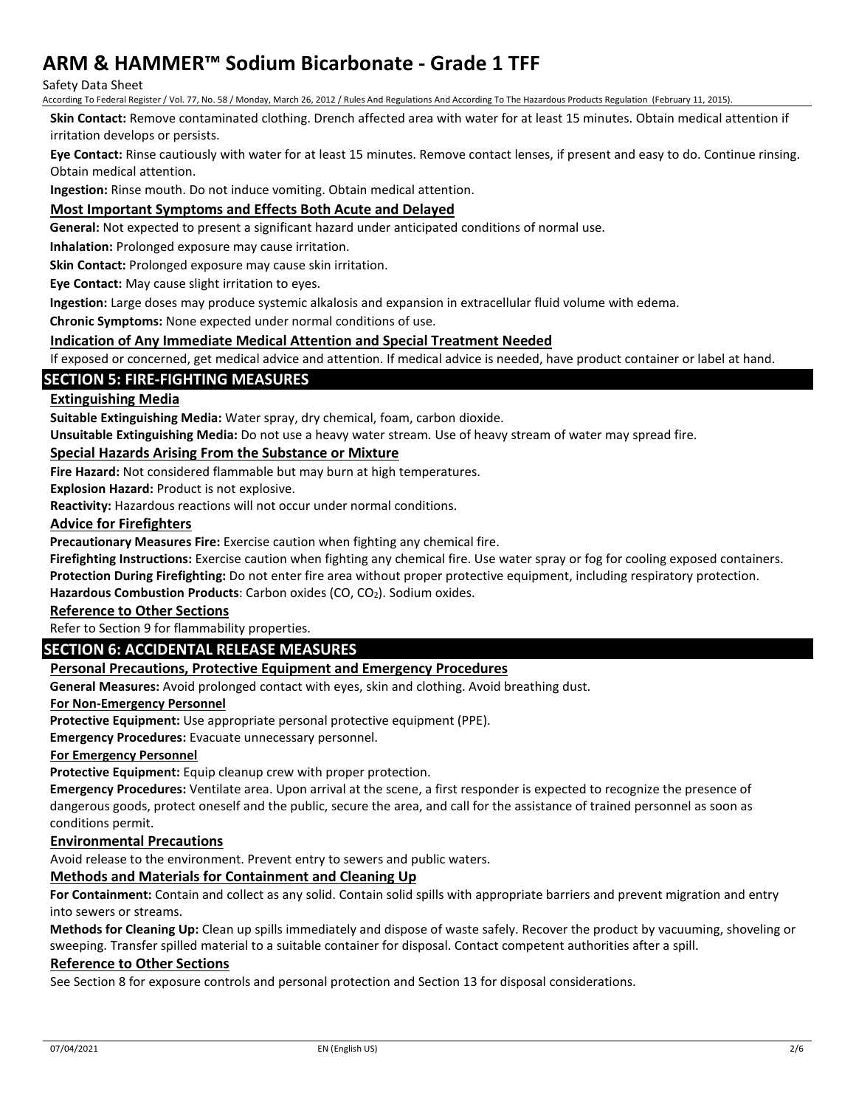Safety Data Sheet

According To Federal Register / Vol. 77, No. 58 / Monday, March 26, 2012 / Rules And Regulations And According To The Hazardous Products Regulation (February 11, 2015).

**Skin Contact:** Remove contaminated clothing. Drench affected area with water for at least 15 minutes. Obtain medical attention if irritation develops or persists.

**Eye Contact:** Rinse cautiously with water for at least 15 minutes. Remove contact lenses, if present and easy to do. Continue rinsing. Obtain medical attention.

**Ingestion:** Rinse mouth. Do not induce vomiting. Obtain medical attention.

## **Most Important Symptoms and Effects Both Acute and Delayed**

**General:** Not expected to present a significant hazard under anticipated conditions of normal use.

**Inhalation:** Prolonged exposure may cause irritation.

**Skin Contact:** Prolonged exposure may cause skin irritation.

**Eye Contact:** May cause slight irritation to eyes.

**Ingestion:** Large doses may produce systemic alkalosis and expansion in extracellular fluid volume with edema.

**Chronic Symptoms:** None expected under normal conditions of use.

#### **Indication of Any Immediate Medical Attention and Special Treatment Needed**

If exposed or concerned, get medical advice and attention. If medical advice is needed, have product container or label at hand.

## **SECTION 5: FIRE-FIGHTING MEASURES**

## **Extinguishing Media**

**Suitable Extinguishing Media:** Water spray, dry chemical, foam, carbon dioxide.

**Unsuitable Extinguishing Media:** Do not use a heavy water stream. Use of heavy stream of water may spread fire.

#### **Special Hazards Arising From the Substance or Mixture**

**Fire Hazard:** Not considered flammable but may burn at high temperatures.

**Explosion Hazard:** Product is not explosive.

**Reactivity:** Hazardous reactions will not occur under normal conditions.

#### **Advice for Firefighters**

**Precautionary Measures Fire:** Exercise caution when fighting any chemical fire.

**Firefighting Instructions:** Exercise caution when fighting any chemical fire. Use water spray or fog for cooling exposed containers.

**Protection During Firefighting:** Do not enter fire area without proper protective equipment, including respiratory protection.

Hazardous Combustion Products: Carbon oxides (CO, CO<sub>2</sub>). Sodium oxides.

# **Reference to Other Sections**

Refer to Section 9 for flammability properties.

# **SECTION 6: ACCIDENTAL RELEASE MEASURES**

## **Personal Precautions, Protective Equipment and Emergency Procedures**

**General Measures:** Avoid prolonged contact with eyes, skin and clothing. Avoid breathing dust.

#### **For Non-Emergency Personnel**

**Protective Equipment:** Use appropriate personal protective equipment (PPE).

**Emergency Procedures:** Evacuate unnecessary personnel.

**For Emergency Personnel**

**Protective Equipment:** Equip cleanup crew with proper protection.

**Emergency Procedures:** Ventilate area. Upon arrival at the scene, a first responder is expected to recognize the presence of dangerous goods, protect oneself and the public, secure the area, and call for the assistance of trained personnel as soon as conditions permit.

## **Environmental Precautions**

Avoid release to the environment. Prevent entry to sewers and public waters.

# **Methods and Materials for Containment and Cleaning Up**

**For Containment:** Contain and collect as any solid. Contain solid spills with appropriate barriers and prevent migration and entry into sewers or streams.

**Methods for Cleaning Up:** Clean up spills immediately and dispose of waste safely. Recover the product by vacuuming, shoveling or sweeping. Transfer spilled material to a suitable container for disposal. Contact competent authorities after a spill.

#### **Reference to Other Sections**

See Section 8 for exposure controls and personal protection and Section 13 for disposal considerations.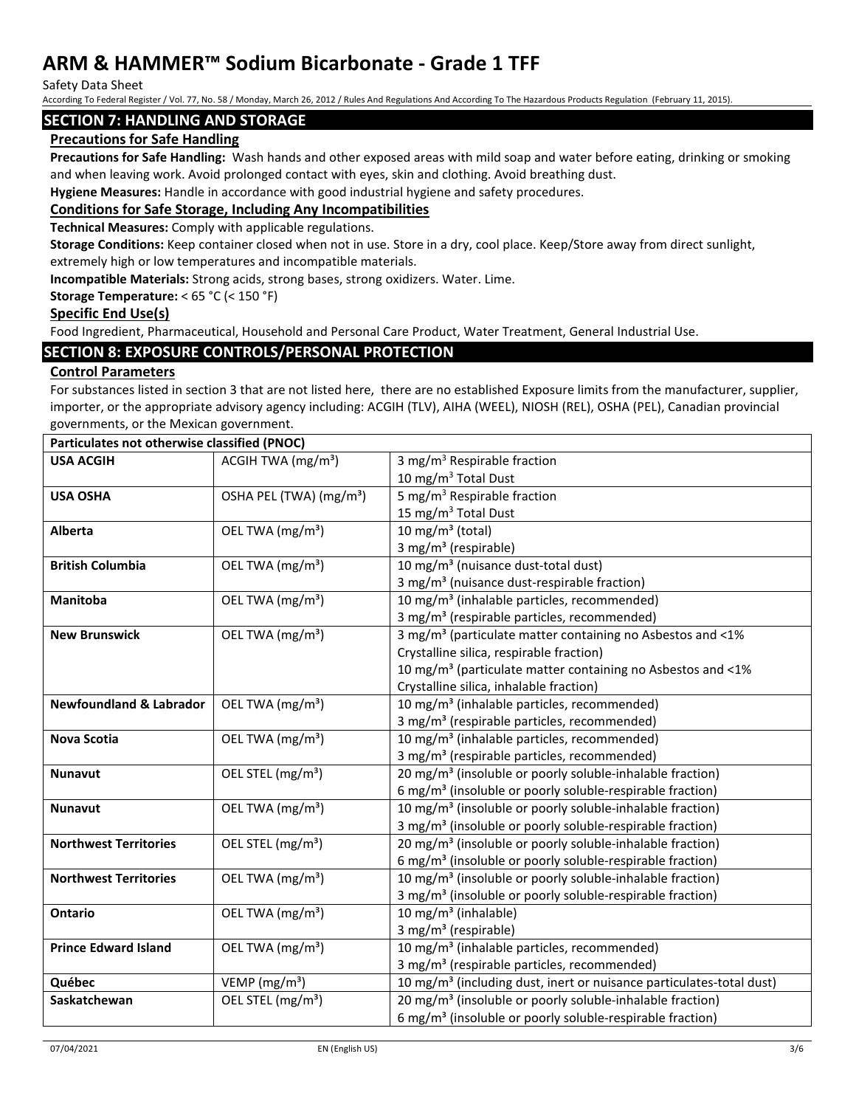Safety Data Sheet

According To Federal Register / Vol. 77, No. 58 / Monday, March 26, 2012 / Rules And Regulations And According To The Hazardous Products Regulation (February 11, 2015).

## **SECTION 7: HANDLING AND STORAGE**

## **Precautions for Safe Handling**

**Precautions for Safe Handling:** Wash hands and other exposed areas with mild soap and water before eating, drinking or smoking and when leaving work. Avoid prolonged contact with eyes, skin and clothing. Avoid breathing dust.

**Hygiene Measures:** Handle in accordance with good industrial hygiene and safety procedures.

## **Conditions for Safe Storage, Including Any Incompatibilities**

**Technical Measures:** Comply with applicable regulations.

**Storage Conditions:** Keep container closed when not in use. Store in a dry, cool place. Keep/Store away from direct sunlight, extremely high or low temperatures and incompatible materials.

**Incompatible Materials:** Strong acids, strong bases, strong oxidizers. Water. Lime.

#### **Storage Temperature:** < 65 °C (< 150 °F)

#### **Specific End Use(s)**

Food Ingredient, Pharmaceutical, Household and Personal Care Product, Water Treatment, General Industrial Use.

## **SECTION 8: EXPOSURE CONTROLS/PERSONAL PROTECTION**

## **Control Parameters**

For substances listed in section 3 that are not listed here, there are no established Exposure limits from the manufacturer, supplier, importer, or the appropriate advisory agency including: ACGIH (TLV), AIHA (WEEL), NIOSH (REL), OSHA (PEL), Canadian provincial governments, or the Mexican government.

| Particulates not otherwise classified (PNOC) |                                             |                                                                                  |  |
|----------------------------------------------|---------------------------------------------|----------------------------------------------------------------------------------|--|
| <b>USA ACGIH</b>                             | ACGIH TWA $(mg/m3)$                         | 3 mg/m <sup>3</sup> Respirable fraction                                          |  |
|                                              |                                             | 10 mg/m $3$ Total Dust                                                           |  |
| <b>USA OSHA</b>                              | OSHA PEL (TWA) (mg/m <sup>3</sup> )         | 5 mg/m <sup>3</sup> Respirable fraction                                          |  |
|                                              |                                             | 15 mg/m <sup>3</sup> Total Dust                                                  |  |
| <b>Alberta</b>                               | OEL TWA (mg/m <sup>3</sup> )                | 10 mg/m $3$ (total)                                                              |  |
|                                              |                                             | 3 mg/m <sup>3</sup> (respirable)                                                 |  |
| <b>British Columbia</b>                      | OEL TWA (mg/m <sup>3</sup> )                | 10 mg/m <sup>3</sup> (nuisance dust-total dust)                                  |  |
|                                              |                                             | 3 mg/m <sup>3</sup> (nuisance dust-respirable fraction)                          |  |
| Manitoba                                     | OEL TWA (mg/m <sup>3</sup> )                | 10 mg/m <sup>3</sup> (inhalable particles, recommended)                          |  |
|                                              |                                             | 3 mg/m <sup>3</sup> (respirable particles, recommended)                          |  |
| <b>New Brunswick</b>                         | OEL TWA (mg/m <sup>3</sup> )                | 3 mg/m <sup>3</sup> (particulate matter containing no Asbestos and <1%           |  |
|                                              |                                             | Crystalline silica, respirable fraction)                                         |  |
|                                              |                                             | 10 mg/m <sup>3</sup> (particulate matter containing no Asbestos and <1%          |  |
|                                              |                                             | Crystalline silica, inhalable fraction)                                          |  |
| <b>Newfoundland &amp; Labrador</b>           | OEL TWA (mg/m <sup>3</sup> )                | 10 mg/m <sup>3</sup> (inhalable particles, recommended)                          |  |
|                                              |                                             | 3 mg/m <sup>3</sup> (respirable particles, recommended)                          |  |
| Nova Scotia                                  | OEL TWA (mg/m <sup>3</sup> )                | 10 mg/m <sup>3</sup> (inhalable particles, recommended)                          |  |
|                                              |                                             | 3 mg/m <sup>3</sup> (respirable particles, recommended)                          |  |
| <b>Nunavut</b>                               | OEL STEL (mg/m <sup>3</sup> )               | 20 mg/m <sup>3</sup> (insoluble or poorly soluble-inhalable fraction)            |  |
|                                              |                                             | 6 mg/m <sup>3</sup> (insoluble or poorly soluble-respirable fraction)            |  |
| <b>Nunavut</b>                               | OEL TWA (mg/m <sup>3</sup> )                | 10 mg/m <sup>3</sup> (insoluble or poorly soluble-inhalable fraction)            |  |
|                                              |                                             | 3 mg/m <sup>3</sup> (insoluble or poorly soluble-respirable fraction)            |  |
| <b>Northwest Territories</b>                 | OEL STEL (mg/m <sup>3</sup> )               | 20 mg/m <sup>3</sup> (insoluble or poorly soluble-inhalable fraction)            |  |
|                                              |                                             | 6 mg/m <sup>3</sup> (insoluble or poorly soluble-respirable fraction)            |  |
| <b>Northwest Territories</b>                 | OEL TWA (mg/m <sup>3</sup> )                | 10 mg/m <sup>3</sup> (insoluble or poorly soluble-inhalable fraction)            |  |
|                                              |                                             | 3 mg/m <sup>3</sup> (insoluble or poorly soluble-respirable fraction)            |  |
| <b>Ontario</b>                               | OEL TWA (mg/m <sup>3</sup> )                | 10 mg/m <sup>3</sup> (inhalable)                                                 |  |
|                                              |                                             | 3 mg/m <sup>3</sup> (respirable)                                                 |  |
| <b>Prince Edward Island</b>                  | OEL TWA (mg/m <sup>3</sup> )                | 10 mg/m <sup>3</sup> (inhalable particles, recommended)                          |  |
|                                              |                                             | 3 mg/m <sup>3</sup> (respirable particles, recommended)                          |  |
| Québec                                       | VEMP ( $mg/m3$ )                            | 10 mg/m <sup>3</sup> (including dust, inert or nuisance particulates-total dust) |  |
| Saskatchewan                                 | $\overline{OE}$ L STEL (mg/m <sup>3</sup> ) | 20 mg/m <sup>3</sup> (insoluble or poorly soluble-inhalable fraction)            |  |
|                                              |                                             | 6 mg/m <sup>3</sup> (insoluble or poorly soluble-respirable fraction)            |  |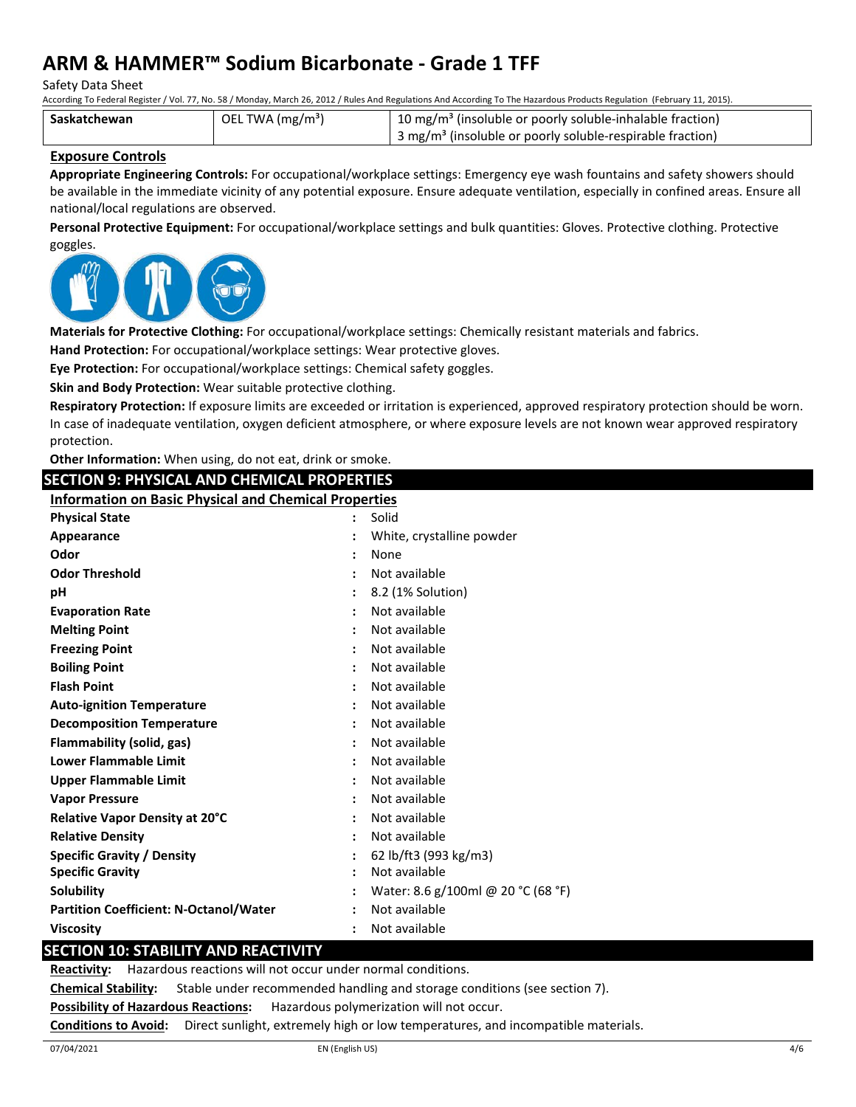Safety Data Sheet

According To Federal Register / Vol. 77, No. 58 / Monday, March 26, 2012 / Rules And Regulations And According To The Hazardous Products Regulation (February 11, 2015).

| Saskatchewan | OEL TWA (mg/m <sup>3</sup> ) | 10 mg/m <sup>3</sup> (insoluble or poorly soluble-inhalable fraction)               |
|--------------|------------------------------|-------------------------------------------------------------------------------------|
|              |                              | $\frac{1}{2}$ 3 mg/m <sup>3</sup> (insoluble or poorly soluble-respirable fraction) |

## **Exposure Controls**

**Appropriate Engineering Controls:** For occupational/workplace settings: Emergency eye wash fountains and safety showers should be available in the immediate vicinity of any potential exposure. Ensure adequate ventilation, especially in confined areas. Ensure all national/local regulations are observed.

**Personal Protective Equipment:** For occupational/workplace settings and bulk quantities: Gloves. Protective clothing. Protective goggles.



**Materials for Protective Clothing:** For occupational/workplace settings: Chemically resistant materials and fabrics.

**Hand Protection:** For occupational/workplace settings: Wear protective gloves.

**Eye Protection:** For occupational/workplace settings: Chemical safety goggles.

**Skin and Body Protection:** Wear suitable protective clothing.

**Respiratory Protection:** If exposure limits are exceeded or irritation is experienced, approved respiratory protection should be worn. In case of inadequate ventilation, oxygen deficient atmosphere, or where exposure levels are not known wear approved respiratory protection.

**Other Information:** When using, do not eat, drink or smoke.

**SECTION 9: PHYSICAL AND CHEMICAL PROPERTIES Information on Basic Physical and Chemical Properties**

| <b>Physical State</b><br>Solid<br>$\mathbf{L}$<br>White, crystalline powder<br>Appearance<br>Odor<br>None<br><b>Odor Threshold</b><br>Not available<br>8.2 (1% Solution)<br>рH<br>Not available<br><b>Evaporation Rate</b><br>Not available<br><b>Melting Point</b><br>Not available<br><b>Freezing Point</b><br><b>Boiling Point</b><br>Not available<br><b>Flash Point</b><br>Not available<br>Not available<br><b>Auto-ignition Temperature</b> |
|----------------------------------------------------------------------------------------------------------------------------------------------------------------------------------------------------------------------------------------------------------------------------------------------------------------------------------------------------------------------------------------------------------------------------------------------------|
|                                                                                                                                                                                                                                                                                                                                                                                                                                                    |
|                                                                                                                                                                                                                                                                                                                                                                                                                                                    |
|                                                                                                                                                                                                                                                                                                                                                                                                                                                    |
|                                                                                                                                                                                                                                                                                                                                                                                                                                                    |
|                                                                                                                                                                                                                                                                                                                                                                                                                                                    |
|                                                                                                                                                                                                                                                                                                                                                                                                                                                    |
|                                                                                                                                                                                                                                                                                                                                                                                                                                                    |
|                                                                                                                                                                                                                                                                                                                                                                                                                                                    |
|                                                                                                                                                                                                                                                                                                                                                                                                                                                    |
|                                                                                                                                                                                                                                                                                                                                                                                                                                                    |
|                                                                                                                                                                                                                                                                                                                                                                                                                                                    |
| Not available<br><b>Decomposition Temperature</b>                                                                                                                                                                                                                                                                                                                                                                                                  |
| Not available<br>Flammability (solid, gas)<br>$\ddot{\phantom{a}}$                                                                                                                                                                                                                                                                                                                                                                                 |
| <b>Lower Flammable Limit</b><br>Not available                                                                                                                                                                                                                                                                                                                                                                                                      |
| Not available<br><b>Upper Flammable Limit</b>                                                                                                                                                                                                                                                                                                                                                                                                      |
| Not available<br><b>Vapor Pressure</b>                                                                                                                                                                                                                                                                                                                                                                                                             |
| Not available<br>Relative Vapor Density at 20°C                                                                                                                                                                                                                                                                                                                                                                                                    |
| Not available<br><b>Relative Density</b>                                                                                                                                                                                                                                                                                                                                                                                                           |
| 62 lb/ft3 (993 kg/m3)<br>Specific Gravity / Density                                                                                                                                                                                                                                                                                                                                                                                                |
| Not available<br><b>Specific Gravity</b>                                                                                                                                                                                                                                                                                                                                                                                                           |
| Water: 8.6 g/100ml @ 20 °C (68 °F)<br>Solubility                                                                                                                                                                                                                                                                                                                                                                                                   |
| Not available<br><b>Partition Coefficient: N-Octanol/Water</b>                                                                                                                                                                                                                                                                                                                                                                                     |
| Not available<br><b>Viscosity</b>                                                                                                                                                                                                                                                                                                                                                                                                                  |

# **SECTION 10: STABILITY AND REACTIVITY**

**Reactivity:** Hazardous reactions will not occur under normal conditions.

**Chemical Stability:** Stable under recommended handling and storage conditions (see section 7).

**Possibility of Hazardous Reactions:** Hazardous polymerization will not occur.

**Conditions to Avoid:** Direct sunlight, extremely high or low temperatures, and incompatible materials.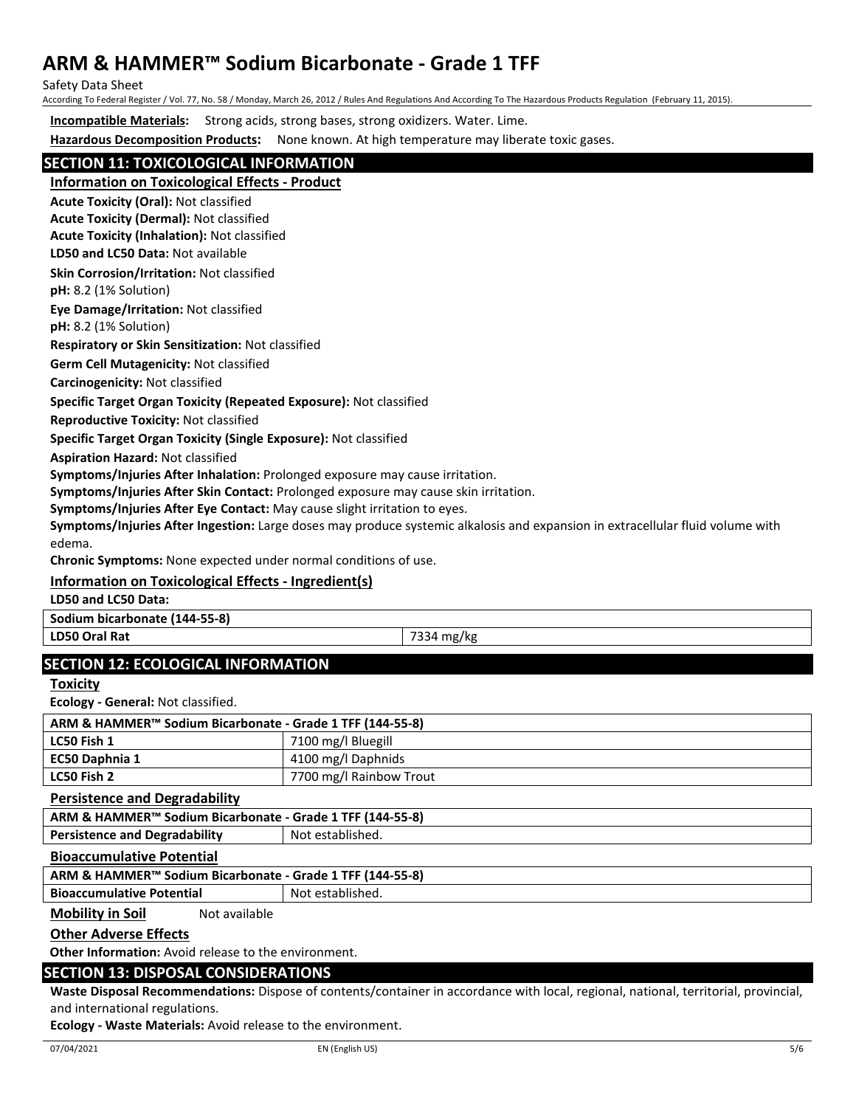Safety Data Sheet

According To Federal Register / Vol. 77, No. 58 / Monday, March 26, 2012 / Rules And Regulations And According To The Hazardous Products Regulation (February 11, 2015).

**Incompatible Materials:** Strong acids, strong bases, strong oxidizers. Water. Lime.

**Hazardous Decomposition Products:** None known. At high temperature may liberate toxic gases.

# **SECTION 11: TOXICOLOGICAL INFORMATION**

**Information on Toxicological Effects - Product**

**Acute Toxicity (Oral):** Not classified

**Acute Toxicity (Dermal):** Not classified

**Acute Toxicity (Inhalation):** Not classified

**LD50 and LC50 Data:** Not available

**Skin Corrosion/Irritation:** Not classified

**pH:** 8.2 (1% Solution)

**Eye Damage/Irritation:** Not classified

**pH:** 8.2 (1% Solution)

**Respiratory or Skin Sensitization:** Not classified

**Germ Cell Mutagenicity:** Not classified

**Carcinogenicity:** Not classified

#### **Specific Target Organ Toxicity (Repeated Exposure):** Not classified

**Reproductive Toxicity:** Not classified

**Specific Target Organ Toxicity (Single Exposure):** Not classified

**Aspiration Hazard:** Not classified

**Symptoms/Injuries After Inhalation:** Prolonged exposure may cause irritation.

**Symptoms/Injuries After Skin Contact:** Prolonged exposure may cause skin irritation.

**Symptoms/Injuries After Eye Contact:** May cause slight irritation to eyes.

**Symptoms/Injuries After Ingestion:** Large doses may produce systemic alkalosis and expansion in extracellular fluid volume with edema.

**Chronic Symptoms:** None expected under normal conditions of use.

# **Information on Toxicological Effects - Ingredient(s)**

**LD50 and LC50 Data:**

**Sodium bicarbonate (144-55-8)**

**LD50 Oral Rat** 7334 mg/kg

# **SECTION 12: ECOLOGICAL INFORMATION**

**Toxicity**

**Ecology - General:** Not classified.

| ARM & HAMMER™ Sodium Bicarbonate - Grade 1 TFF (144-55-8) |                         |  |
|-----------------------------------------------------------|-------------------------|--|
| LC50 Fish 1                                               | 7100 mg/l Bluegill      |  |
| EC50 Daphnia 1                                            | 4100 mg/l Daphnids      |  |
| LC50 Fish 2                                               | 7700 mg/l Rainbow Trout |  |

**Persistence and Degradability**

| ARM & HAMMER <sup>™</sup> Sodium Bicarbonate - Grade 1 TFF (144-55-8) |                  |
|-----------------------------------------------------------------------|------------------|
| <b>Persistence and Degradability</b>                                  | Not established. |

#### **Bioaccumulative Potential**

**ARM & HAMMER™ Sodium Bicarbonate - Grade 1 TFF (144-55-8)**

**Bioaccumulative Potential Fig. 2016** Not established.

**Mobility in Soil** Not available

## **Other Adverse Effects**

**Other Information:** Avoid release to the environment.

# **SECTION 13: DISPOSAL CONSIDERATIONS**

**Waste Disposal Recommendations:** Dispose of contents/container in accordance with local, regional, national, territorial, provincial, and international regulations.

**Ecology - Waste Materials:** Avoid release to the environment.